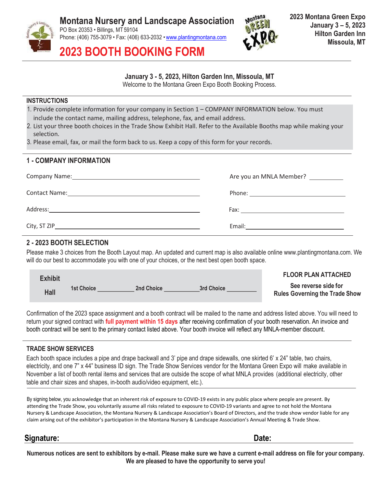



2023 BOOTH BOOKING FORM

# January 3 - 5, 2023, Hilton Garden Inn, Missoula, MT

Welcome to the Montana Green Expo Booth Booking Process.

#### **INSTRUCTIONS**

- 1. Provide complete information for your company in Section 1 COMPANY INFORMATION below. You must include the contact name, mailing address, telephone, fax, and email address.
- 2. List your three booth choices in the Trade Show Exhibit Hall. Refer to the Available Booths map while making your selection.
- 3. Please email, fax, or mail the form back to us. Keep a copy of this form for your records.

### 1 - COMPANY INFORMATION

| Are you an MNLA Member? |
|-------------------------|
|                         |
|                         |
| Email:                  |

# 2 - 2023 BOOTH SELECTION

Please make 3 choices from the Booth Layout map. An updated and current map is also available online www.plantingmontana.com. We will do our best to accommodate you with one of your choices, or the next best open booth space.

| <b>Exhibit</b> |            |                   |            | <b>FLOOR PLAN ATTACHED</b>                                    |
|----------------|------------|-------------------|------------|---------------------------------------------------------------|
| Hall           | 1st Choice | <b>2nd Choice</b> | 3rd Choice | See reverse side for<br><b>Rules Governing the Trade Show</b> |

Confirmation of the 2023 space assignment and a booth contract will be mailed to the name and address listed above. You will need to return your signed contract with full payment within 15 days after receiving confirmation of your booth reservation. An invoice and booth contract will be sent to the primary contact listed above. Your booth invoice will reflect any MNLA-member discount.

# TRADE SHOW SERVICES

Each booth space includes a pipe and drape backwall and 3' pipe and drape sidewalls, one skirted 6' x 24" table, two chairs, electricity, and one 7" x 44" business ID sign. The Trade Show Services vendor for the Montana Green Expo will make available in November a list of booth rental items and services that are outside the scope of what MNLA provides (additional electricity, other table and chair sizes and shapes, in-booth audio/video equipment, etc.).

By signing below, you acknowledge that an inherent risk of exposure to COVID-19 exists in any public place where people are present. By attending the Trade Show, you voluntarily assume all risks related to exposure to COVID-19 variants and agree to not hold the Montana Nursery & Landscape Association, the Montana Nursery & Landscape Association's Board of Directors, and the trade show vendor liable for any claim arising out of the exhibitor's participation in the Montana Nursery & Landscape Association's Annual Meeting & Trade Show.

# Signature: Date:

Numerous notices are sent to exhibitors by e-mail. Please make sure we have a current e-mail address on file for your company. We are pleased to have the opportunity to serve you!